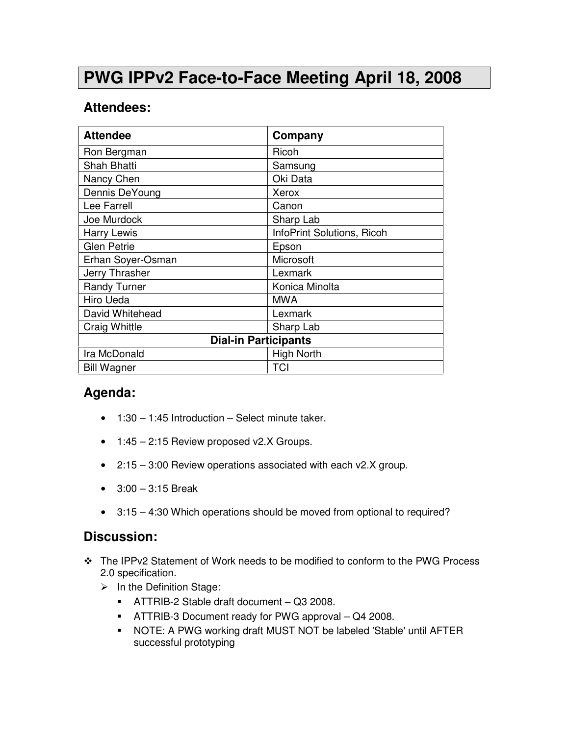## **PWG IPPv2 Face-to-Face Meeting April 18, 2008**

## **Attendees:**

| <b>Attendee</b>             | Company                    |
|-----------------------------|----------------------------|
| Ron Bergman                 | Ricoh                      |
| Shah Bhatti                 | Samsung                    |
| Nancy Chen                  | Oki Data                   |
| Dennis DeYoung              | Xerox                      |
| Lee Farrell                 | Canon                      |
| Joe Murdock                 | Sharp Lab                  |
| <b>Harry Lewis</b>          | InfoPrint Solutions, Ricoh |
| <b>Glen Petrie</b>          | Epson                      |
| Erhan Soyer-Osman           | Microsoft                  |
| Jerry Thrasher              | Lexmark                    |
| <b>Randy Turner</b>         | Konica Minolta             |
| Hiro Ueda                   | <b>MWA</b>                 |
| David Whitehead             | Lexmark                    |
| <b>Craig Whittle</b>        | Sharp Lab                  |
| <b>Dial-in Participants</b> |                            |
| Ira McDonald                | <b>High North</b>          |
| <b>Bill Wagner</b>          | <b>TCI</b>                 |

## **Agenda:**

- $\bullet$  1:30 1:45 Introduction Select minute taker.
- 1:45 2:15 Review proposed v2.X Groups.
- 2:15 3:00 Review operations associated with each v2.X group.
- 3:00 3:15 Break
- 3:15 4:30 Which operations should be moved from optional to required?

## **Discussion:**

- The IPPv2 Statement of Work needs to be modified to conform to the PWG Process 2.0 specification.
	- > In the Definition Stage:
		- ATTRIB-2 Stable draft document Q3 2008.
		- ATTRIB-3 Document ready for PWG approval Q4 2008.
		- NOTE: A PWG working draft MUST NOT be labeled 'Stable' until AFTER successful prototyping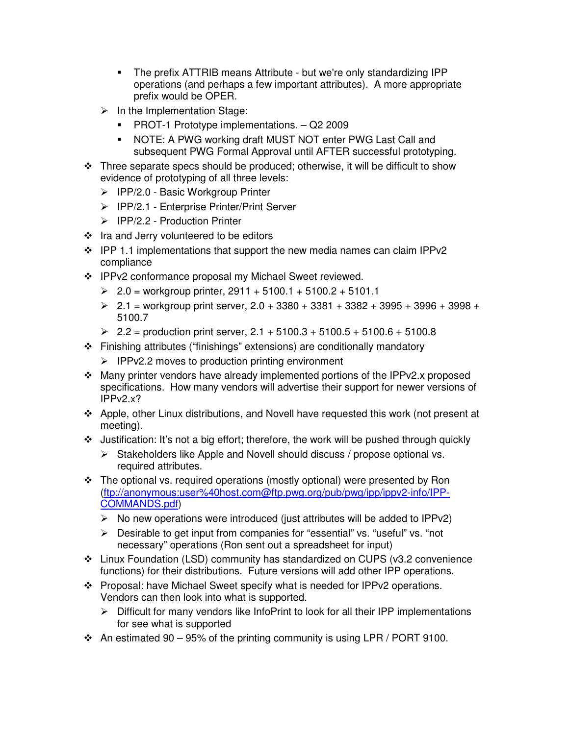- The prefix ATTRIB means Attribute but we're only standardizing IPP operations (and perhaps a few important attributes). A more appropriate prefix would be OPER.
- > In the Implementation Stage:
	- **PROT-1 Prototype implementations. Q2 2009**
	- NOTE: A PWG working draft MUST NOT enter PWG Last Call and subsequent PWG Formal Approval until AFTER successful prototyping.
- \* Three separate specs should be produced; otherwise, it will be difficult to show evidence of prototyping of all three levels:
	- > IPP/2.0 Basic Workgroup Printer
	- > IPP/2.1 Enterprise Printer/Print Server
	- > IPP/2.2 Production Printer
- $\div$  Ira and Jerry volunteered to be editors
- $\div$  IPP 1.1 implementations that support the new media names can claim IPPv2 compliance
- ❖ IPPv2 conformance proposal my Michael Sweet reviewed.
	- $\ge 2.0$  = workgroup printer, 2911 + 5100.1 + 5100.2 + 5101.1
	- $\ge 2.1$  = workgroup print server, 2.0 + 3380 + 3381 + 3382 + 3995 + 3996 + 3998 + 5100.7
	- $\ge 2.2$  = production print server, 2.1 + 5100.3 + 5100.5 + 5100.6 + 5100.8
- Finishing attributes ("finishings" extensions) are conditionally mandatory
	- > IPPv2.2 moves to production printing environment
- Many printer vendors have already implemented portions of the IPPv2.x proposed specifications. How many vendors will advertise their support for newer versions of IPPv2.x?
- Apple, other Linux distributions, and Novell have requested this work (not present at meeting).
- $\cdot$  Justification: It's not a big effort; therefore, the work will be pushed through quickly
	- > Stakeholders like Apple and Novell should discuss / propose optional vs. required attributes.
- The optional vs. required operations (mostly optional) were presented by Ron (ftp://anonymous:user%40host.com@ftp.pwg.org/pub/pwg/ipp/ippv2-info/IPP-COMMANDS.pdf)
	- > No new operations were introduced (just attributes will be added to IPPv2)
	- > Desirable to get input from companies for "essential" vs. "useful" vs. "not necessary" operations (Ron sent out a spreadsheet for input)
- Linux Foundation (LSD) community has standardized on CUPS (v3.2 convenience functions) for their distributions. Future versions will add other IPP operations.
- Proposal: have Michael Sweet specify what is needed for IPPv2 operations. Vendors can then look into what is supported.
	- > Difficult for many vendors like InfoPrint to look for all their IPP implementations for see what is supported
- $\cdot$  An estimated 90 95% of the printing community is using LPR / PORT 9100.